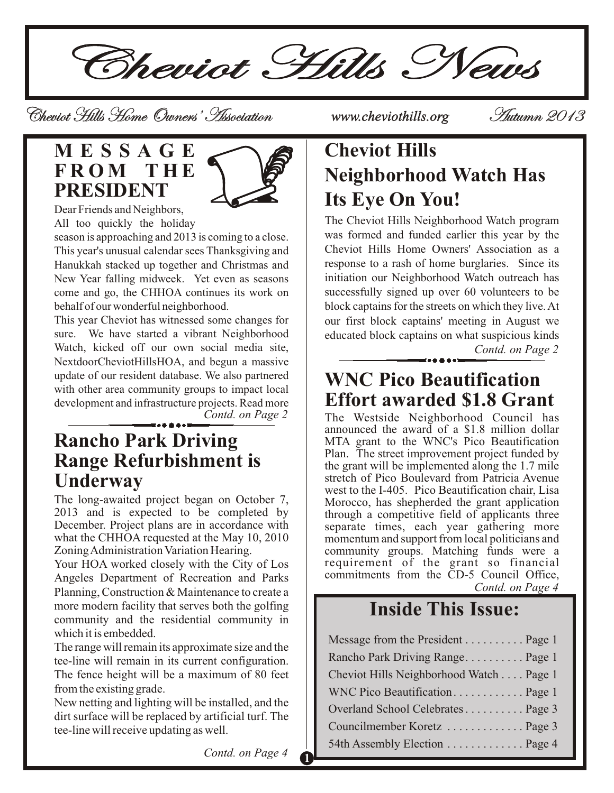Cheviot Hills News

Cheviot Hills Home Owners' Association *www.cheviothills.org* Autumn 2013

#### **M E S S A G E F R O M T H E PRESIDENT**



Dear Friends and Neighbors, All too quickly the holiday

season is approaching and 2013 is coming to a close. This year's unusual calendar sees Thanksgiving and Hanukkah stacked up together and Christmas and New Year falling midweek. Yet even as seasons come and go, the CHHOA continues its work on behalf of our wonderful neighborhood.

This year Cheviot has witnessed some changes for sure. We have started a vibrant Neighborhood Watch, kicked off our own social media site, NextdoorCheviotHillsHOA, and begun a massive update of our resident database. We also partnered with other area community groups to impact local development and infrastructure projects. Read more

*Contd. on Page 2*

#### **Rancho Park Driving Range Refurbishment is Underway**

The long-awaited project began on October 7, 2013 and is expected to be completed by December. Project plans are in accordance with what the CHHOA requested at the May 10, 2010 Zoning Administration Variation Hearing.

Your HOA worked closely with the City of Los Angeles Department of Recreation and Parks Planning, Construction & Maintenance to create a more modern facility that serves both the golfing community and the residential community in which it is embedded.

The range will remain its approximate size and the tee-line will remain in its current configuration. The fence height will be a maximum of 80 feet from the existing grade.

New netting and lighting will be installed, and the dirt surface will be replaced by artificial turf. The tee-line will receive updating as well.

# **Cheviot Hills Neighborhood Watch Has Its Eye On You!**

The Cheviot Hills Neighborhood Watch program was formed and funded earlier this year by the Cheviot Hills Home Owners' Association as a response to a rash of home burglaries. Since its initiation our Neighborhood Watch outreach has successfully signed up over 60 volunteers to be block captains for the streets on which they live. At our first block captains' meeting in August we educated block captains on what suspicious kinds

*Contd. on Page 2*

### **WNC Pico Beautification Effort awarded \$1.8 Grant**

The Westside Neighborhood Council has announced the award of a \$1.8 million dollar MTA grant to the WNC's Pico Beautification Plan. The street improvement project funded by the grant will be implemented along the 1.7 mile stretch of Pico Boulevard from Patricia Avenue west to the I-405. Pico Beautification chair, Lisa Morocco, has shepherded the grant application through a competitive field of applicants three separate times, each year gathering more momentum and support from local politicians and community groups. Matching funds were a requirement of the grant so financial commitments from the CD-5 Council Office, *Contd. on Page 4*

## **Inside This Issue: .**

| Message from the President Page 1       |  |
|-----------------------------------------|--|
| Rancho Park Driving Range Page 1        |  |
| Cheviot Hills Neighborhood Watch Page 1 |  |
| WNC Pico Beautification Page 1          |  |
| Overland School Celebrates Page 3       |  |
| Councilmember Koretz  Page 3            |  |
| 54th Assembly Election Page 4           |  |

*Contd. on Page 4*

**1**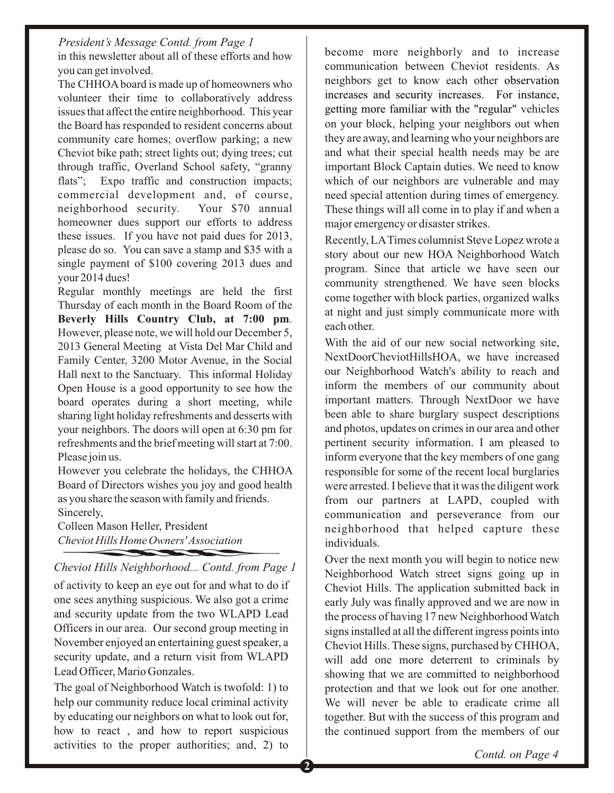in this newsletter about all of these efforts and how you can get involved. *President's Message Contd. from Page 1*

The CHHOAboard is made up of homeowners who volunteer their time to collaboratively address issues that affect the entire neighborhood. This year the Board has responded to resident concerns about community care homes; overflow parking; a new Cheviot bike path; street lights out; dying trees; cut through traffic, Overland School safety, "granny flats"; Expo traffic and construction impacts; commercial development and, of course, neighborhood security. Your \$70 annual homeowner dues support our efforts to address these issues. If you have not paid dues for 2013, please do so. You can save a stamp and \$35 with a single payment of \$100 covering 2013 dues and your 2014 dues!

Regular monthly meetings are held the first Thursday of each month in the Board Room of the **Beverly Hills Country Club, at 7:00 pm**. However, please note, we will hold our December 5, 2013 General Meeting at Vista Del Mar Child and Family Center, 3200 Motor Avenue, in the Social Hall next to the Sanctuary. This informal Holiday Open House is a good opportunity to see how the board operates during a short meeting, while sharing light holiday refreshments and desserts with your neighbors. The doors will open at 6:30 pm for refreshments and the brief meeting will start at 7:00. Please join us.

However you celebrate the holidays, the CHHOA Board of Directors wishes you joy and good health as you share the season with family and friends. Sincerely,

Colleen Mason Heller, President *Cheviot Hills Home Owners' Association* **CONTRACTOR** 

*Cheviot Hills Neighborhood... Contd. from Page 1*

of activity to keep an eye out for and what to do if one sees anything suspicious. We also got a crime and security update from the two WLAPD Lead Officers in our area. Our second group meeting in November enjoyed an entertaining guest speaker, a security update, and a return visit from WLAPD Lead Officer, Mario Gonzales.

The goal of Neighborhood Watch is twofold: 1) to help our community reduce local criminal activity by educating our neighbors on what to look out for, how to react , and how to report suspicious activities to the proper authorities; and, 2) to

become more neighborly and to increase communication between Cheviot residents. As neighbors get to know each other observation getting more familiar with the "regular" vehicles on your block, helping your neighbors out when they are away, and learning who your neighbors are and what their special health needs may be are important Block Captain duties. We need to know which of our neighbors are vulnerable and may need special attention during times of emergency. These things will all come in to play if and when a major emergency or disaster strikes. increases and security increases. For instance,

Recently, LATimes columnist Steve Lopez wrote a story about our new HOA Neighborhood Watch program. Since that article we have seen our community strengthened. We have seen blocks come together with block parties, organized walks at night and just simply communicate more with each other.

With the aid of our new social networking site, NextDoorCheviotHillsHOA, we have increased our Neighborhood Watch's ability to reach and inform the members of our community about important matters. Through NextDoor we have been able to share burglary suspect descriptions and photos, updates on crimes in our area and other pertinent security information. I am pleased to inform everyone that the key members of one gang responsible for some of the recent local burglaries were arrested. I believe that it was the diligent work from our partners at LAPD, coupled with communication and perseverance from our neighborhood that helped capture these individuals.

Over the next month you will begin to notice new Neighborhood Watch street signs going up in Cheviot Hills. The application submitted back in early July was finally approved and we are now in the process of having 17 new Neighborhood Watch signs installed at all the different ingress points into Cheviot Hills. These signs, purchased by CHHOA, will add one more deterrent to criminals by showing that we are committed to neighborhood protection and that we look out for one another. We will never be able to eradicate crime all together. But with the success of this program and the continued support from the members of our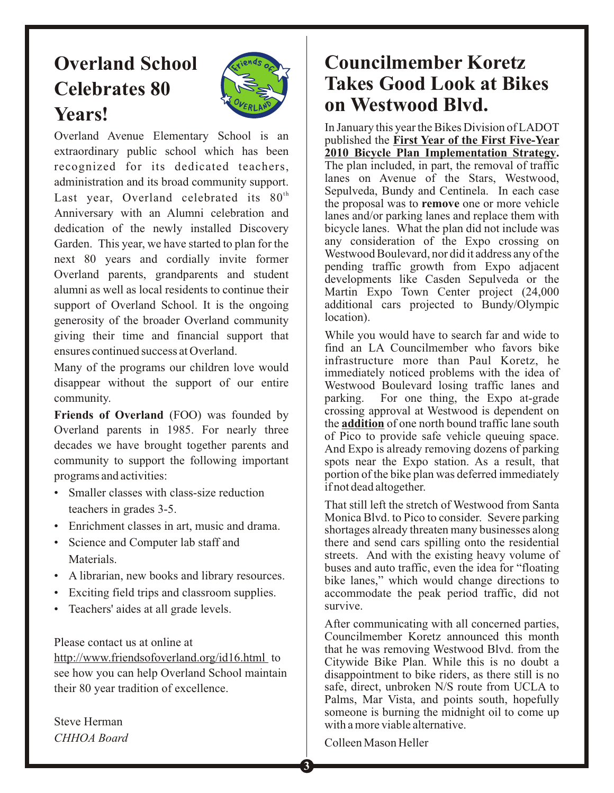## **Overland School Celebrates 80 Years!**



Overland Avenue Elementary School is an extraordinary public school which has been recognized for its dedicated teachers, administration and its broad community support. Last year, Overland celebrated its  $80<sup>th</sup>$ Anniversary with an Alumni celebration and dedication of the newly installed Discovery Garden. This year, we have started to plan for the next 80 years and cordially invite former Overland parents, grandparents and student alumni as well as local residents to continue their support of Overland School. It is the ongoing generosity of the broader Overland community giving their time and financial support that ensures continued success at Overland.

Many of the programs our children love would disappear without the support of our entire community.

Friends of Overland (FOO) was founded by Overland parents in 1985. For nearly three decades we have brought together parents and community to support the following important programs and activities:

- Smaller classes with class-size reduction teachers in grades 3-5.
- Enrichment classes in art, music and drama.
- Science and Computer lab staff and Materials.
- A librarian, new books and library resources.
- Exciting field trips and classroom supplies.
- Teachers' aides at all grade levels.

Please contact us at online at

http://www.friendsofoverland.org/id16.html to see how you can help Overland School maintain their 80 year tradition of excellence.

Steve Herman *CHHOA Board*

## **Councilmember Koretz Takes Good Look at Bikes on Westwood Blvd.**

In January this year the Bikes Division of LADOT published the **First Year of the First Five-Year 2010 Bicycle Plan Implementation Strategy.**  The plan included, in part, the removal of traffic lanes on Avenue of the Stars, Westwood, Sepulveda, Bundy and Centinela. In each case the proposal was to **remove** one or more vehicle lanes and/or parking lanes and replace them with bicycle lanes. What the plan did not include was any consideration of the Expo crossing on Westwood Boulevard, nor did it address any of the pending traffic growth from Expo adjacent developments like Casden Sepulveda or the Martin Expo Town Center project (24,000 additional cars projected to Bundy/Olympic location).

While you would have to search far and wide to find an LA Councilmember who favors bike infrastructure more than Paul Koretz, he immediately noticed problems with the idea of Westwood Boulevard losing traffic lanes and parking. For one thing, the Expo at-grade crossing approval at Westwood is dependent on the **addition** of one north bound traffic lane south of Pico to provide safe vehicle queuing space. And Expo is already removing dozens of parking spots near the Expo station. As a result, that portion of the bike plan was deferred immediately if not dead altogether.

That still left the stretch of Westwood from Santa Monica Blvd. to Pico to consider. Severe parking shortages already threaten many businesses along there and send cars spilling onto the residential streets. And with the existing heavy volume of buses and auto traffic, even the idea for "floating bike lanes," which would change directions to accommodate the peak period traffic, did not survive.

After communicating with all concerned parties, Councilmember Koretz announced this month that he was removing Westwood Blvd. from the Citywide Bike Plan. While this is no doubt a disappointment to bike riders, as there still is no safe, direct, unbroken N/S route from UCLA to Palms, Mar Vista, and points south, hopefully someone is burning the midnight oil to come up with a more viable alternative.

Colleen Mason Heller